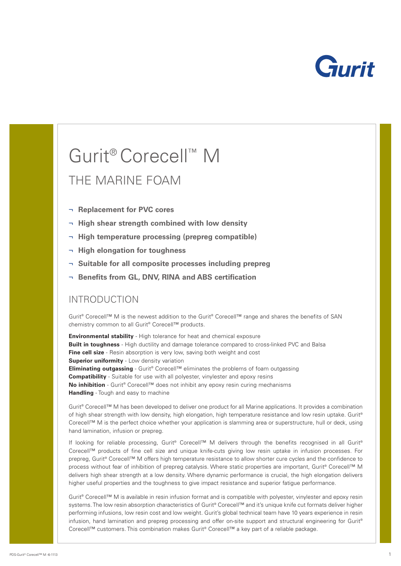

# Gurit ® Corecell ™ M

# THE MARINE FOAM

- ¬ **Replacement for PVC cores**
- ¬ **High shear strength combined with low density**
- ¬ **High temperature processing (prepreg compatible)**
- ¬ **High elongation for toughness**
- ¬ **Suitable for all composite processes including prepreg**
- ¬ **Benefits from GL, DNV, RINA and ABS certification**

## INTRODUCTION

Gurit® Corecell™ M is the newest addition to the Gurit® Corecell™ range and shares the benefits of SAN chemistry common to all Gurit ® Corecell™ products.

**Environmental stability** - High tolerance for heat and chemical exposure **Built in toughness** - High ductility and damage tolerance compared to cross-linked PVC and Balsa **Fine cell size** - Resin absorption is very low, saving both weight and cost **Superior uniformity** - Low density variation **Eliminating outgassing** - Gurit® Corecell™ eliminates the problems of foam outgassing **Compatibility** - Suitable for use with all polyester, vinylester and epoxy resins **No inhibition** - Gurit® Corecell<sup>™</sup> does not inhibit any epoxy resin curing mechanisms **Handling** - Tough and easy to machine

Gurit ® Corecell™ M has been developed to deliver one product for all Marine applications. It provides a combination of high shear strength with low density, high elongation, high temperature resistance and low resin uptake. Gurit ® Corecell™ M is the perfect choice whether your application is slamming area or superstructure, hull or deck, using hand lamination, infusion or prepreg.

If looking for reliable processing, Gurit® Corecell™ M delivers through the benefits recognised in all Gurit® Corecell™ products of fine cell size and unique knife-cuts giving low resin uptake in infusion processes. For prepreg, Gurit® Corecell™ M offers high temperature resistance to allow shorter cure cycles and the confidence to process without fear of inhibition of prepreg catalysis. Where static properties are important, Gurit® Corecell™ M delivers high shear strength at a low density. Where dynamic performance is crucial, the high elongation delivers higher useful properties and the toughness to give impact resistance and superior fatigue performance.

Gurit ® Corecell™ M is available in resin infusion format and is compatible with polyester, vinylester and epoxy resin systems. The low resin absorption characteristics of Gurit® Corecell™ and it's unique knife cut formats deliver higher performing infusions, low resin cost and low weight. Gurit's global technical team have 10 years experience in resin infusion, hand lamination and prepreg processing and offer on-site support and structural engineering for Gurit ® Corecell™ customers. This combination makes Gurit ® Corecell™ a key part of a reliable package.